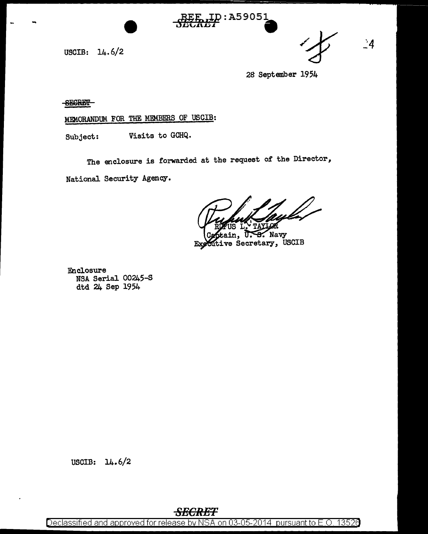USCIB: 14.6/2



28 September 1954

**SEGRET** 

MEMORANDUM FOR THE MEMBERS OF USCIB:

Visits to GCHQ. Subject:

The enclosure is forwarded at the request of the Director,

National Security Agency.

ጥለ∨ገ

 $\frac{1}{2}$ Navy ve Secretary, USCIB Exe

ID:A59051

Enclosure NSA Serial 00245-S dtd 24 Sep 1954

USCIB:  $14.6/2$ 

Declassified and approved for release by NSA on 03-05-2014 pursuant to E.O. 13526